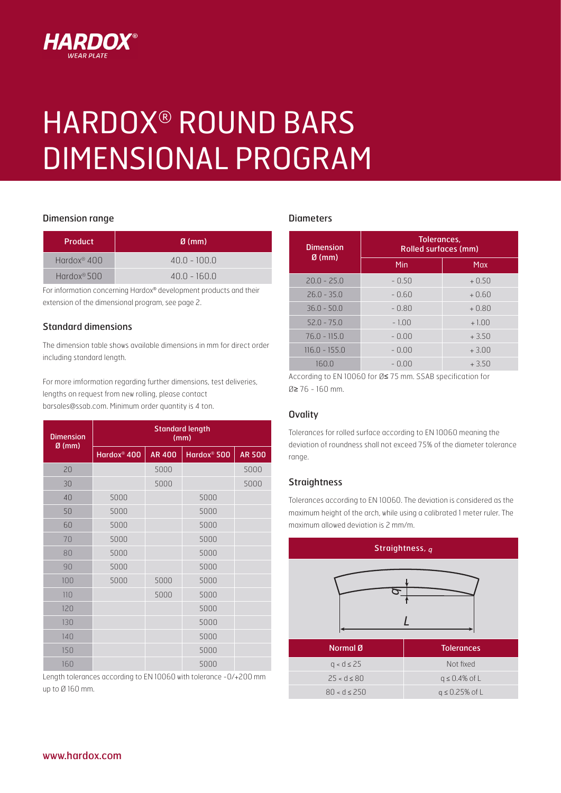

# HARDOX® ROUND BARS DIMENSIONAL PROGRAM

## Dimension range

| <b>Product</b>          | $\emptyset$ (mm) |  |
|-------------------------|------------------|--|
| Hardox <sup>®</sup> 400 | $40.0 - 100.0$   |  |
| Hardox <sup>®</sup> 500 | $40.0 - 160.0$   |  |

For information concerning Hardox® development products and their extension of the dimensional program, see page 2.

## Standard dimensions

The dimension table shows available dimensions in mm for direct order including standard length.

For more imformation regarding further dimensions, test deliveries, lengths on request from new rolling, please contact barsales@ssab.com. Minimum order quantity is 4 ton.

| <b>Dimension</b><br>$Ø$ (mm) | <b>Standard length</b><br>(mm) |               |                         |               |  |
|------------------------------|--------------------------------|---------------|-------------------------|---------------|--|
|                              | Hardox <sup>®</sup> 400        | <b>AR 400</b> | Hardox <sup>®</sup> 500 | <b>AR 500</b> |  |
| 20                           |                                | 5000          |                         | 5000          |  |
| 30                           |                                | 5000          |                         | 5000          |  |
| 40                           | 5000                           |               | 5000                    |               |  |
| 50                           | 5000                           |               | 5000                    |               |  |
| 60                           | 5000                           |               | 5000                    |               |  |
| 70                           | 5000                           |               | 5000                    |               |  |
| 80                           | 5000                           |               | 5000                    |               |  |
| 90                           | 5000                           |               | 5000                    |               |  |
| 100                          | 5000                           | 5000          | 5000                    |               |  |
| 110                          |                                | 5000          | 5000                    |               |  |
| 120                          |                                |               | 5000                    |               |  |
| 130                          |                                |               | 5000                    |               |  |
| 140                          |                                |               | 5000                    |               |  |
| 150                          |                                |               | 5000                    |               |  |
| 160                          |                                |               | 5000                    |               |  |

Length tolerances according to EN 10060 with tolerance -0/+200 mm up to Ø 160 mm.

#### **Diameters**

| <b>Dimension</b> | Tolerances.<br>Rolled surfaces (mm) |         |  |
|------------------|-------------------------------------|---------|--|
| $\emptyset$ (mm) | Min                                 | Max     |  |
| $20.0 - 25.0$    | $-0.50$                             | $+0.50$ |  |
| $26.0 - 35.0$    | $-0.60$                             | $+0.60$ |  |
| $36.0 - 50.0$    | $-0.80$                             | $+0.80$ |  |
| $52.0 - 75.0$    | $-1.00$                             | $+1.00$ |  |
| $76.0 - 115.0$   | $-0.00$                             | $+3.50$ |  |
| $116.0 - 155.0$  | - 0.00                              | $+3.00$ |  |
| 160.0            | - 0.00                              | +3.50   |  |

According to EN 10060 for Ø≤ 75 mm. SSAB specification for Ø≥ 76 - 160 mm.

#### **Ovality**

Tolerances for rolled surface according to EN 10060 meaning the deviation of roundness shall not exceed 75% of the diameter tolerance range.

#### **Straightness**

Tolerances according to EN 10060. The deviation is considered as the maximum height of the arch, while using a calibrated 1 meter ruler. The maximum allowed deviation is 2 mm/m.